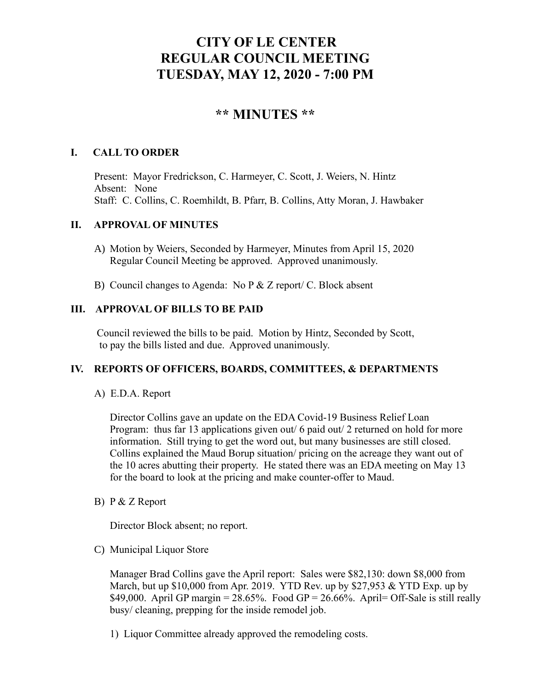# **CITY OF LE CENTER REGULAR COUNCIL MEETING TUESDAY, MAY 12, 2020 - 7:00 PM**

# **\*\* MINUTES \*\***

# **I. CALL TO ORDER**

Present: Mayor Fredrickson, C. Harmeyer, C. Scott, J. Weiers, N. Hintz Absent: None Staff: C. Collins, C. Roemhildt, B. Pfarr, B. Collins, Atty Moran, J. Hawbaker

#### **II. APPROVAL OF MINUTES**

- A) Motion by Weiers, Seconded by Harmeyer, Minutes from April 15, 2020 Regular Council Meeting be approved. Approved unanimously.
- B) Council changes to Agenda: No  $P & Z$  report/ C. Block absent

# **III. APPROVAL OF BILLS TO BE PAID**

Council reviewed the bills to be paid. Motion by Hintz, Seconded by Scott, to pay the bills listed and due. Approved unanimously.

#### **IV. REPORTS OF OFFICERS, BOARDS, COMMITTEES, & DEPARTMENTS**

A) E.D.A. Report

 Director Collins gave an update on the EDA Covid-19 Business Relief Loan Program: thus far 13 applications given out/ 6 paid out/ 2 returned on hold for more information. Still trying to get the word out, but many businesses are still closed. Collins explained the Maud Borup situation/ pricing on the acreage they want out of the 10 acres abutting their property. He stated there was an EDA meeting on May 13 for the board to look at the pricing and make counter-offer to Maud.

B) P & Z Report

Director Block absent; no report.

C) Municipal Liquor Store

Manager Brad Collins gave the April report: Sales were \$82,130: down \$8,000 from March, but up  $$10,000$  from Apr. 2019. YTD Rev. up by  $$27,953 \&$  YTD Exp. up by \$49,000. April GP margin =  $28.65\%$ . Food GP =  $26.66\%$ . April= Off-Sale is still really busy/ cleaning, prepping for the inside remodel job.

1) Liquor Committee already approved the remodeling costs.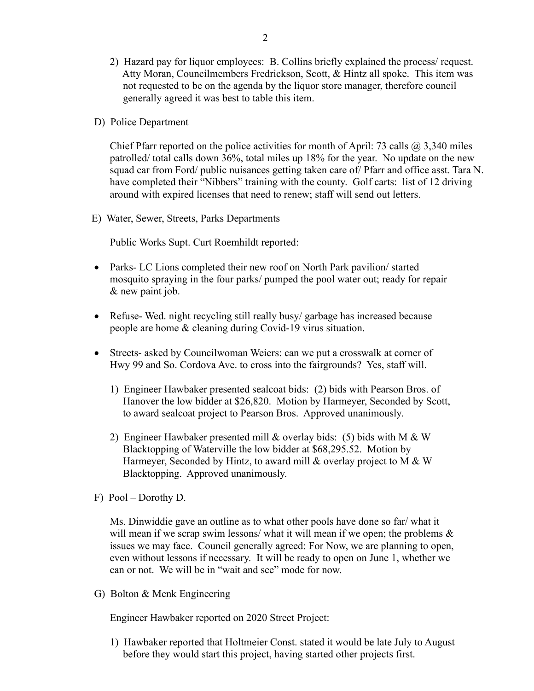- 2) Hazard pay for liquor employees: B. Collins briefly explained the process/ request. Atty Moran, Councilmembers Fredrickson, Scott, & Hintz all spoke. This item was not requested to be on the agenda by the liquor store manager, therefore council generally agreed it was best to table this item.
- D) Police Department

Chief Pfarr reported on the police activities for month of April: 73 calls  $\omega$  3,340 miles patrolled/ total calls down 36%, total miles up 18% for the year. No update on the new squad car from Ford/ public nuisances getting taken care of/ Pfarr and office asst. Tara N. have completed their "Nibbers" training with the county. Golf carts: list of 12 driving around with expired licenses that need to renew; staff will send out letters.

E) Water, Sewer, Streets, Parks Departments

Public Works Supt. Curt Roemhildt reported:

- Parks- LC Lions completed their new roof on North Park pavilion/ started mosquito spraying in the four parks/ pumped the pool water out; ready for repair & new paint job.
- Refuse-Wed. night recycling still really busy/garbage has increased because people are home & cleaning during Covid-19 virus situation.
- Streets- asked by Councilwoman Weiers: can we put a crosswalk at corner of Hwy 99 and So. Cordova Ave. to cross into the fairgrounds? Yes, staff will.
	- 1) Engineer Hawbaker presented sealcoat bids: (2) bids with Pearson Bros. of Hanover the low bidder at \$26,820. Motion by Harmeyer, Seconded by Scott, to award sealcoat project to Pearson Bros. Approved unanimously.
	- 2) Engineer Hawbaker presented mill & overlay bids: (5) bids with M & W Blacktopping of Waterville the low bidder at \$68,295.52. Motion by Harmeyer, Seconded by Hintz, to award mill & overlay project to M & W Blacktopping. Approved unanimously.
- F) Pool Dorothy D.

 Ms. Dinwiddie gave an outline as to what other pools have done so far/ what it will mean if we scrap swim lessons/ what it will mean if we open; the problems  $\&$  issues we may face. Council generally agreed: For Now, we are planning to open, even without lessons if necessary. It will be ready to open on June 1, whether we can or not. We will be in "wait and see" mode for now.

G) Bolton & Menk Engineering

Engineer Hawbaker reported on 2020 Street Project:

 1) Hawbaker reported that Holtmeier Const. stated it would be late July to August before they would start this project, having started other projects first.